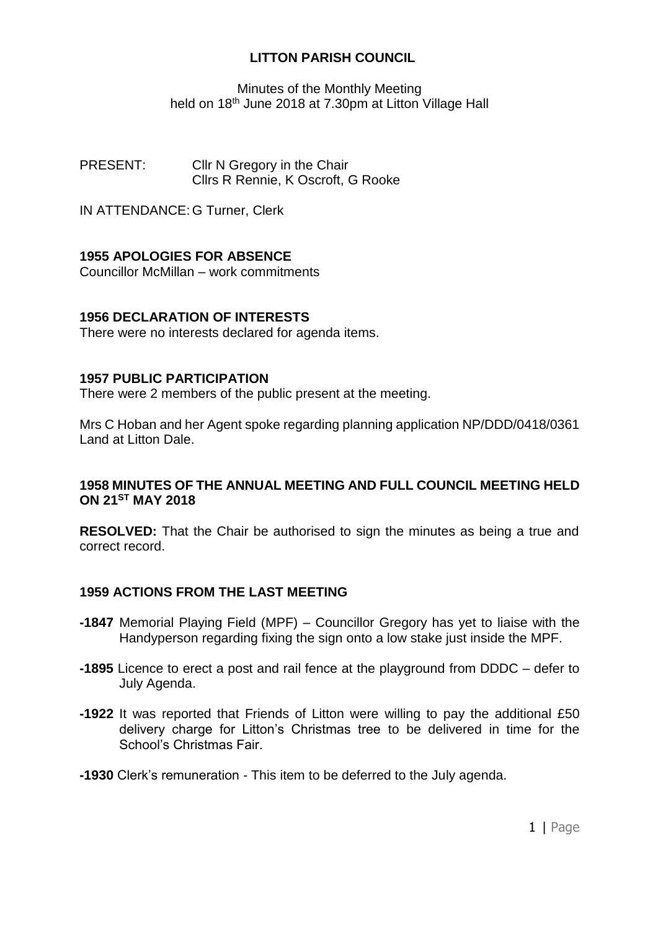### **LITTON PARISH COUNCIL**

Minutes of the Monthly Meeting held on 18<sup>th</sup> June 2018 at 7.30pm at Litton Village Hall

PRESENT: Cllr N Gregory in the Chair Cllrs R Rennie, K Oscroft, G Rooke

IN ATTENDANCE: G Turner, Clerk

# **1955 APOLOGIES FOR ABSENCE**

Councillor McMillan – work commitments

### **1956 DECLARATION OF INTERESTS**

There were no interests declared for agenda items.

#### **1957 PUBLIC PARTICIPATION**

There were 2 members of the public present at the meeting.

Mrs C Hoban and her Agent spoke regarding planning application NP/DDD/0418/0361 Land at Litton Dale.

### **1958 MINUTES OF THE ANNUAL MEETING AND FULL COUNCIL MEETING HELD ON 21ST MAY 2018**

**RESOLVED:** That the Chair be authorised to sign the minutes as being a true and correct record.

### **1959 ACTIONS FROM THE LAST MEETING**

- **-1847** Memorial Playing Field (MPF) Councillor Gregory has yet to liaise with the Handyperson regarding fixing the sign onto a low stake just inside the MPF.
- **-1895** Licence to erect a post and rail fence at the playground from DDDC defer to July Agenda.
- **-1922** It was reported that Friends of Litton were willing to pay the additional £50 delivery charge for Litton's Christmas tree to be delivered in time for the School's Christmas Fair.
- **-1930** Clerk's remuneration This item to be deferred to the July agenda.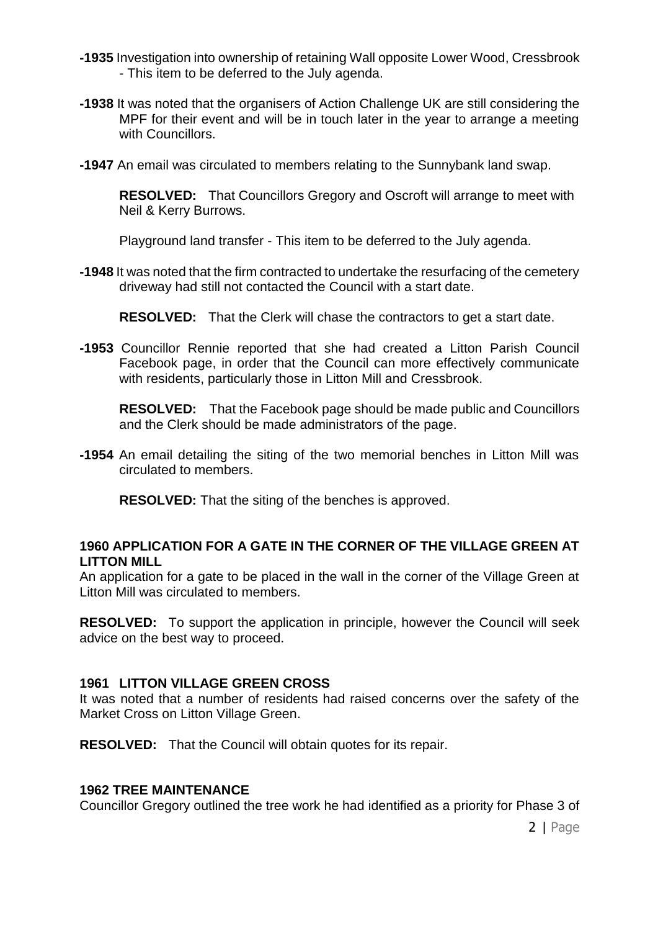- **-1935** Investigation into ownership of retaining Wall opposite Lower Wood, Cressbrook - This item to be deferred to the July agenda.
- **-1938** It was noted that the organisers of Action Challenge UK are still considering the MPF for their event and will be in touch later in the year to arrange a meeting with Councillors.
- **-1947** An email was circulated to members relating to the Sunnybank land swap.

**RESOLVED:** That Councillors Gregory and Oscroft will arrange to meet with Neil & Kerry Burrows.

Playground land transfer - This item to be deferred to the July agenda.

**-1948** It was noted that the firm contracted to undertake the resurfacing of the cemetery driveway had still not contacted the Council with a start date.

**RESOLVED:** That the Clerk will chase the contractors to get a start date.

**-1953** Councillor Rennie reported that she had created a Litton Parish Council Facebook page, in order that the Council can more effectively communicate with residents, particularly those in Litton Mill and Cressbrook.

**RESOLVED:** That the Facebook page should be made public and Councillors and the Clerk should be made administrators of the page.

**-1954** An email detailing the siting of the two memorial benches in Litton Mill was circulated to members.

**RESOLVED:** That the siting of the benches is approved.

## **1960 APPLICATION FOR A GATE IN THE CORNER OF THE VILLAGE GREEN AT LITTON MILL**

An application for a gate to be placed in the wall in the corner of the Village Green at Litton Mill was circulated to members.

**RESOLVED:** To support the application in principle, however the Council will seek advice on the best way to proceed.

## **1961 LITTON VILLAGE GREEN CROSS**

It was noted that a number of residents had raised concerns over the safety of the Market Cross on Litton Village Green.

**RESOLVED:** That the Council will obtain quotes for its repair.

### **1962 TREE MAINTENANCE**

Councillor Gregory outlined the tree work he had identified as a priority for Phase 3 of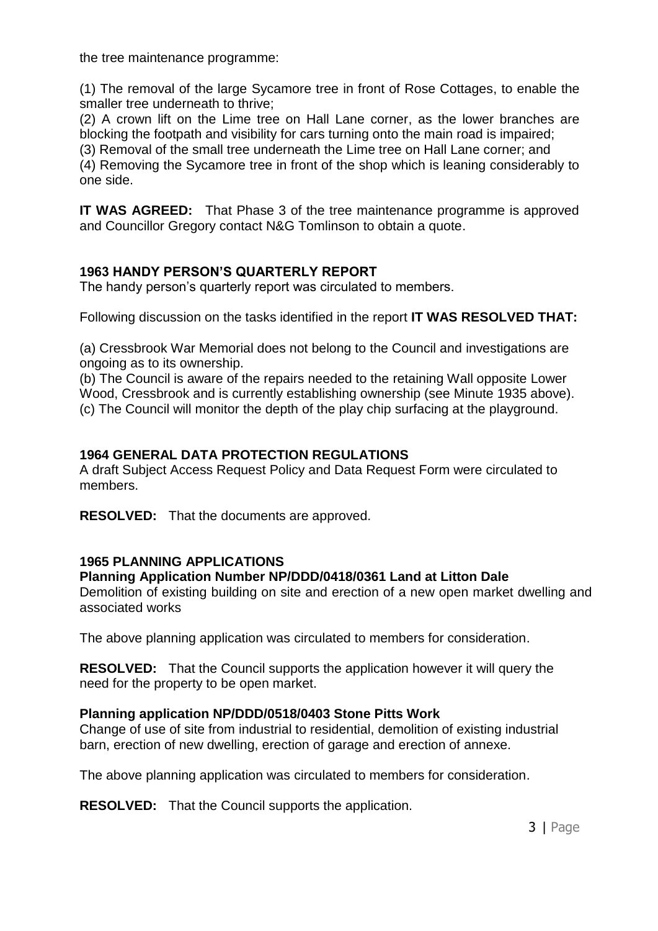the tree maintenance programme:

(1) The removal of the large Sycamore tree in front of Rose Cottages, to enable the smaller tree underneath to thrive;

(2) A crown lift on the Lime tree on Hall Lane corner, as the lower branches are blocking the footpath and visibility for cars turning onto the main road is impaired;

(3) Removal of the small tree underneath the Lime tree on Hall Lane corner; and

(4) Removing the Sycamore tree in front of the shop which is leaning considerably to one side.

**IT WAS AGREED:** That Phase 3 of the tree maintenance programme is approved and Councillor Gregory contact N&G Tomlinson to obtain a quote.

# **1963 HANDY PERSON'S QUARTERLY REPORT**

The handy person's quarterly report was circulated to members.

Following discussion on the tasks identified in the report **IT WAS RESOLVED THAT:** 

(a) Cressbrook War Memorial does not belong to the Council and investigations are ongoing as to its ownership.

(b) The Council is aware of the repairs needed to the retaining Wall opposite Lower Wood, Cressbrook and is currently establishing ownership (see Minute 1935 above). (c) The Council will monitor the depth of the play chip surfacing at the playground.

## **1964 GENERAL DATA PROTECTION REGULATIONS**

A draft Subject Access Request Policy and Data Request Form were circulated to members.

**RESOLVED:** That the documents are approved.

### **1965 PLANNING APPLICATIONS**

## **Planning Application Number NP/DDD/0418/0361 Land at Litton Dale**

Demolition of existing building on site and erection of a new open market dwelling and associated works

The above planning application was circulated to members for consideration.

**RESOLVED:** That the Council supports the application however it will query the need for the property to be open market.

### **Planning application NP/DDD/0518/0403 Stone Pitts Work**

Change of use of site from industrial to residential, demolition of existing industrial barn, erection of new dwelling, erection of garage and erection of annexe.

The above planning application was circulated to members for consideration.

**RESOLVED:** That the Council supports the application.